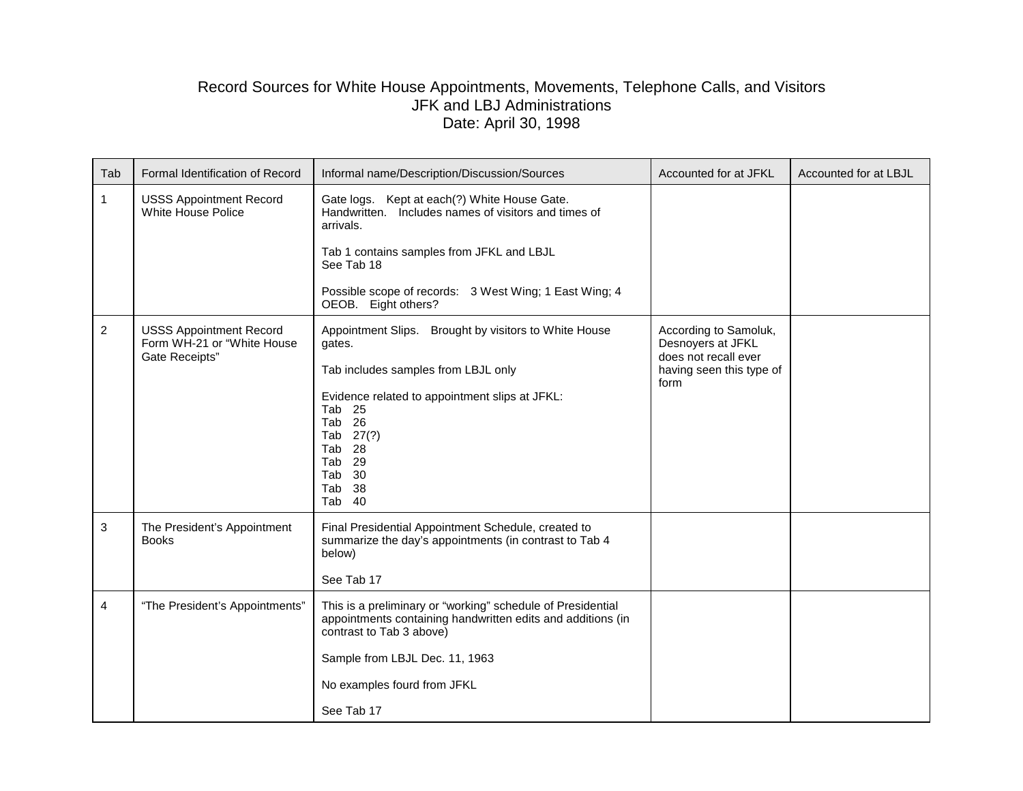## Record Sources for White House Appointments, Movements, Telephone Calls, and Visitors JFK and LBJ Administrations Date: April 30, 1998

| Tab | Formal Identification of Record                                                | Informal name/Description/Discussion/Sources                                                                                                                                  | Accounted for at JFKL                                                                                  | Accounted for at LBJL |
|-----|--------------------------------------------------------------------------------|-------------------------------------------------------------------------------------------------------------------------------------------------------------------------------|--------------------------------------------------------------------------------------------------------|-----------------------|
| 1.  | <b>USSS Appointment Record</b><br>White House Police                           | Gate logs. Kept at each(?) White House Gate.<br>Handwritten. Includes names of visitors and times of<br>arrivals.                                                             |                                                                                                        |                       |
|     |                                                                                | Tab 1 contains samples from JFKL and LBJL<br>See Tab 18                                                                                                                       |                                                                                                        |                       |
|     |                                                                                | Possible scope of records: 3 West Wing; 1 East Wing; 4<br>OEOB. Eight others?                                                                                                 |                                                                                                        |                       |
| 2   | <b>USSS Appointment Record</b><br>Form WH-21 or "White House<br>Gate Receipts" | Appointment Slips. Brought by visitors to White House<br>gates.<br>Tab includes samples from LBJL only                                                                        | According to Samoluk,<br>Desnoyers at JFKL<br>does not recall ever<br>having seen this type of<br>form |                       |
|     |                                                                                | Evidence related to appointment slips at JFKL:<br>Tab <sub>25</sub><br>Tab <sub>26</sub><br>Tab 27(?)<br>Tab <sub>28</sub><br>Tab <sub>29</sub><br>Tab 30<br>Tab 38<br>Tab 40 |                                                                                                        |                       |
| 3   | The President's Appointment<br><b>Books</b>                                    | Final Presidential Appointment Schedule, created to<br>summarize the day's appointments (in contrast to Tab 4<br>below)                                                       |                                                                                                        |                       |
|     |                                                                                | See Tab 17                                                                                                                                                                    |                                                                                                        |                       |
| 4   | "The President's Appointments"                                                 | This is a preliminary or "working" schedule of Presidential<br>appointments containing handwritten edits and additions (in<br>contrast to Tab 3 above)                        |                                                                                                        |                       |
|     |                                                                                | Sample from LBJL Dec. 11, 1963                                                                                                                                                |                                                                                                        |                       |
|     |                                                                                | No examples fourd from JFKL                                                                                                                                                   |                                                                                                        |                       |
|     |                                                                                | See Tab 17                                                                                                                                                                    |                                                                                                        |                       |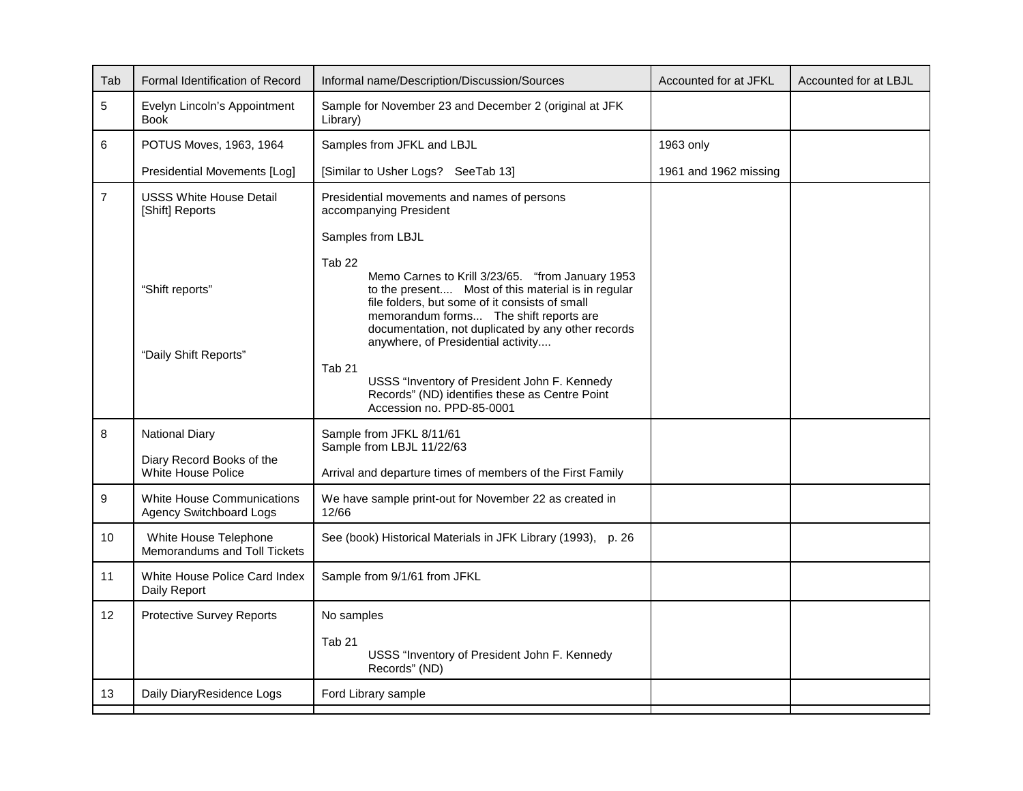| Tab            | Formal Identification of Record                                                                                            | Informal name/Description/Discussion/Sources                                                                                                                                                                                                                                                                                                                                                                                               | Accounted for at JFKL | Accounted for at LBJL |
|----------------|----------------------------------------------------------------------------------------------------------------------------|--------------------------------------------------------------------------------------------------------------------------------------------------------------------------------------------------------------------------------------------------------------------------------------------------------------------------------------------------------------------------------------------------------------------------------------------|-----------------------|-----------------------|
| 5              | Evelyn Lincoln's Appointment<br><b>Book</b>                                                                                | Sample for November 23 and December 2 (original at JFK<br>Library)                                                                                                                                                                                                                                                                                                                                                                         |                       |                       |
| 6              | POTUS Moves, 1963, 1964                                                                                                    | Samples from JFKL and LBJL                                                                                                                                                                                                                                                                                                                                                                                                                 | 1963 only             |                       |
|                | Presidential Movements [Log]                                                                                               | [Similar to Usher Logs? SeeTab 13]                                                                                                                                                                                                                                                                                                                                                                                                         | 1961 and 1962 missing |                       |
| $\overline{7}$ | <b>USSS White House Detail</b><br>Presidential movements and names of persons<br>[Shift] Reports<br>accompanying President |                                                                                                                                                                                                                                                                                                                                                                                                                                            |                       |                       |
|                |                                                                                                                            | Samples from LBJL                                                                                                                                                                                                                                                                                                                                                                                                                          |                       |                       |
|                | "Shift reports"<br>"Daily Shift Reports"                                                                                   | Tab <sub>22</sub><br>Memo Carnes to Krill 3/23/65. "from January 1953<br>to the present Most of this material is in regular<br>file folders, but some of it consists of small<br>memorandum forms The shift reports are<br>documentation, not duplicated by any other records<br>anywhere, of Presidential activity<br>Tab <sub>21</sub><br>USSS "Inventory of President John F. Kennedy<br>Records" (ND) identifies these as Centre Point |                       |                       |
|                |                                                                                                                            | Accession no. PPD-85-0001                                                                                                                                                                                                                                                                                                                                                                                                                  |                       |                       |
| 8              | <b>National Diary</b>                                                                                                      | Sample from JFKL 8/11/61<br>Sample from LBJL 11/22/63                                                                                                                                                                                                                                                                                                                                                                                      |                       |                       |
|                | Diary Record Books of the<br>White House Police                                                                            | Arrival and departure times of members of the First Family                                                                                                                                                                                                                                                                                                                                                                                 |                       |                       |
| 9              | <b>White House Communications</b><br><b>Agency Switchboard Logs</b>                                                        | We have sample print-out for November 22 as created in<br>12/66                                                                                                                                                                                                                                                                                                                                                                            |                       |                       |
| 10             | White House Telephone<br>Memorandums and Toll Tickets                                                                      | See (book) Historical Materials in JFK Library (1993), p. 26                                                                                                                                                                                                                                                                                                                                                                               |                       |                       |
| 11             | White House Police Card Index<br>Sample from 9/1/61 from JFKL<br>Daily Report                                              |                                                                                                                                                                                                                                                                                                                                                                                                                                            |                       |                       |
| 12             | <b>Protective Survey Reports</b>                                                                                           | No samples                                                                                                                                                                                                                                                                                                                                                                                                                                 |                       |                       |
|                |                                                                                                                            | Tab <sub>21</sub><br>USSS "Inventory of President John F. Kennedy<br>Records" (ND)                                                                                                                                                                                                                                                                                                                                                         |                       |                       |
| 13             | Daily DiaryResidence Logs                                                                                                  | Ford Library sample                                                                                                                                                                                                                                                                                                                                                                                                                        |                       |                       |
|                |                                                                                                                            |                                                                                                                                                                                                                                                                                                                                                                                                                                            |                       |                       |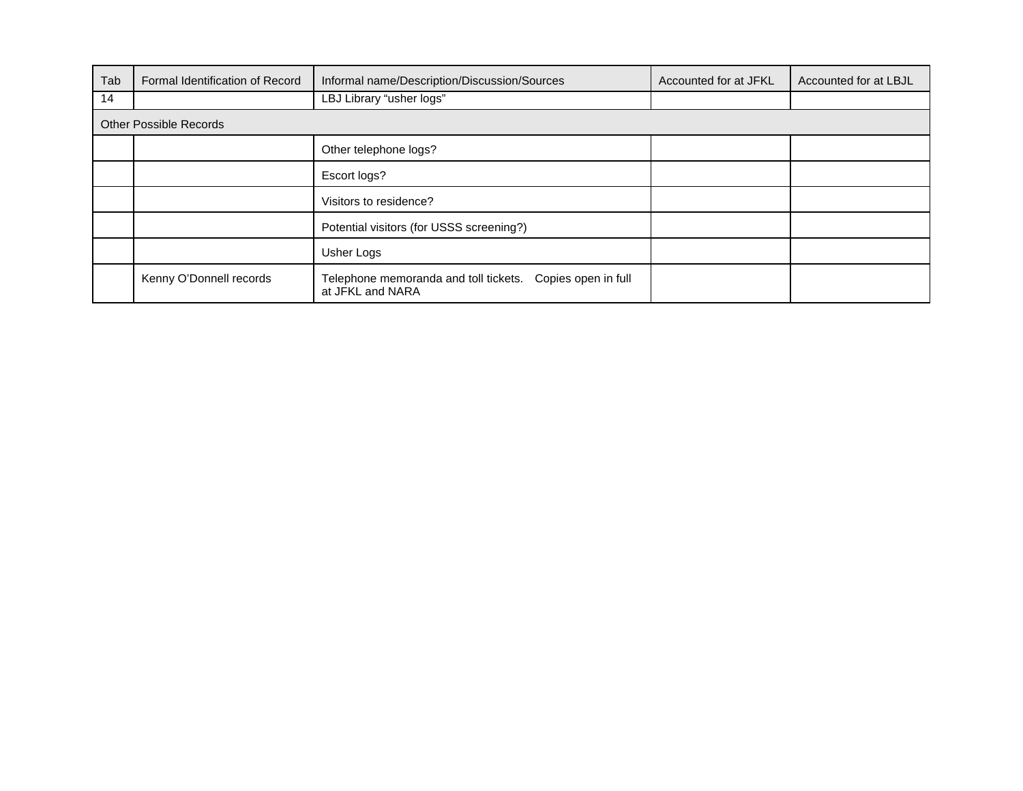| Tab | Formal Identification of Record | Informal name/Description/Discussion/Sources                                     | Accounted for at JFKL | Accounted for at LBJL |  |
|-----|---------------------------------|----------------------------------------------------------------------------------|-----------------------|-----------------------|--|
| 14  |                                 | LBJ Library "usher logs"                                                         |                       |                       |  |
|     | <b>Other Possible Records</b>   |                                                                                  |                       |                       |  |
|     |                                 | Other telephone logs?                                                            |                       |                       |  |
|     |                                 | Escort logs?                                                                     |                       |                       |  |
|     |                                 | Visitors to residence?                                                           |                       |                       |  |
|     |                                 | Potential visitors (for USSS screening?)                                         |                       |                       |  |
|     |                                 | Usher Logs                                                                       |                       |                       |  |
|     | Kenny O'Donnell records         | Telephone memoranda and toll tickets.<br>Copies open in full<br>at JFKL and NARA |                       |                       |  |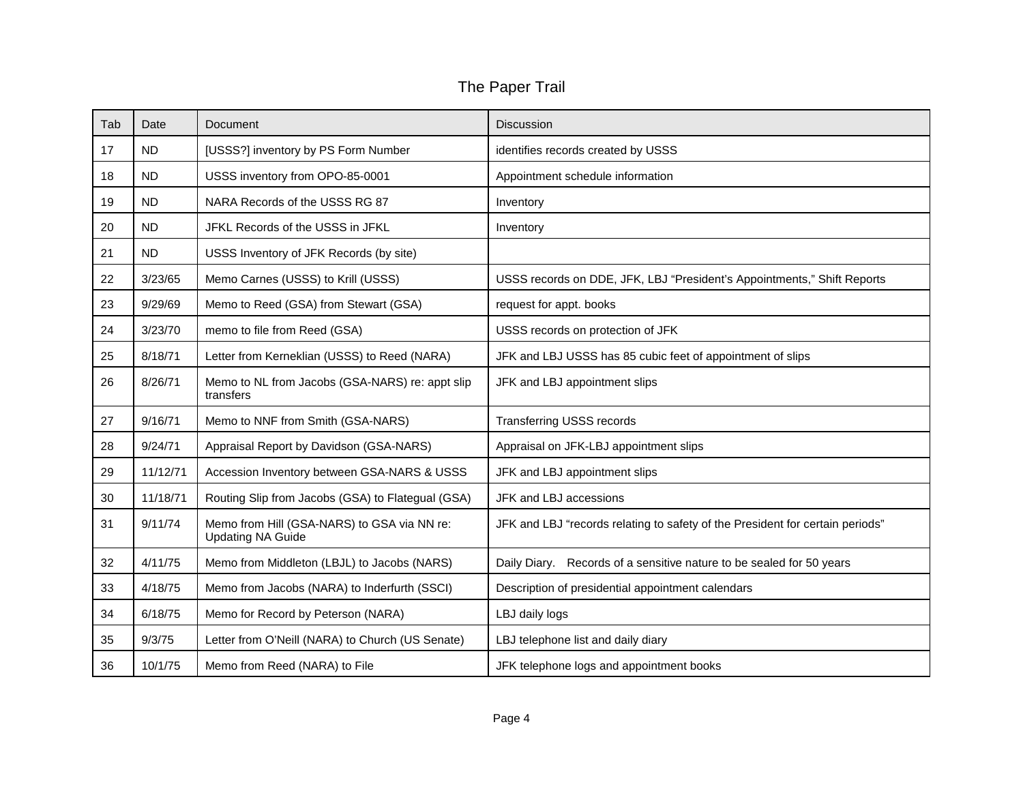## The Paper Trail

| Tab | Date      | Document                                                                | <b>Discussion</b>                                                             |
|-----|-----------|-------------------------------------------------------------------------|-------------------------------------------------------------------------------|
| 17  | <b>ND</b> | [USSS?] inventory by PS Form Number                                     | identifies records created by USSS                                            |
| 18  | <b>ND</b> | USSS inventory from OPO-85-0001                                         | Appointment schedule information                                              |
| 19  | <b>ND</b> | NARA Records of the USSS RG 87                                          | Inventory                                                                     |
| 20  | <b>ND</b> | JFKL Records of the USSS in JFKL                                        | Inventory                                                                     |
| 21  | <b>ND</b> | USSS Inventory of JFK Records (by site)                                 |                                                                               |
| 22  | 3/23/65   | Memo Carnes (USSS) to Krill (USSS)                                      | USSS records on DDE, JFK, LBJ "President's Appointments," Shift Reports       |
| 23  | 9/29/69   | Memo to Reed (GSA) from Stewart (GSA)                                   | request for appt. books                                                       |
| 24  | 3/23/70   | memo to file from Reed (GSA)                                            | USSS records on protection of JFK                                             |
| 25  | 8/18/71   | Letter from Kerneklian (USSS) to Reed (NARA)                            | JFK and LBJ USSS has 85 cubic feet of appointment of slips                    |
| 26  | 8/26/71   | Memo to NL from Jacobs (GSA-NARS) re: appt slip<br>transfers            | JFK and LBJ appointment slips                                                 |
| 27  | 9/16/71   | Memo to NNF from Smith (GSA-NARS)                                       | <b>Transferring USSS records</b>                                              |
| 28  | 9/24/71   | Appraisal Report by Davidson (GSA-NARS)                                 | Appraisal on JFK-LBJ appointment slips                                        |
| 29  | 11/12/71  | Accession Inventory between GSA-NARS & USSS                             | JFK and LBJ appointment slips                                                 |
| 30  | 11/18/71  | Routing Slip from Jacobs (GSA) to Flategual (GSA)                       | JFK and LBJ accessions                                                        |
| 31  | 9/11/74   | Memo from Hill (GSA-NARS) to GSA via NN re:<br><b>Updating NA Guide</b> | JFK and LBJ "records relating to safety of the President for certain periods" |
| 32  | 4/11/75   | Memo from Middleton (LBJL) to Jacobs (NARS)                             | Daily Diary. Records of a sensitive nature to be sealed for 50 years          |
| 33  | 4/18/75   | Memo from Jacobs (NARA) to Inderfurth (SSCI)                            | Description of presidential appointment calendars                             |
| 34  | 6/18/75   | Memo for Record by Peterson (NARA)                                      | LBJ daily logs                                                                |
| 35  | 9/3/75    | Letter from O'Neill (NARA) to Church (US Senate)                        | LBJ telephone list and daily diary                                            |
| 36  | 10/1/75   | Memo from Reed (NARA) to File                                           | JFK telephone logs and appointment books                                      |